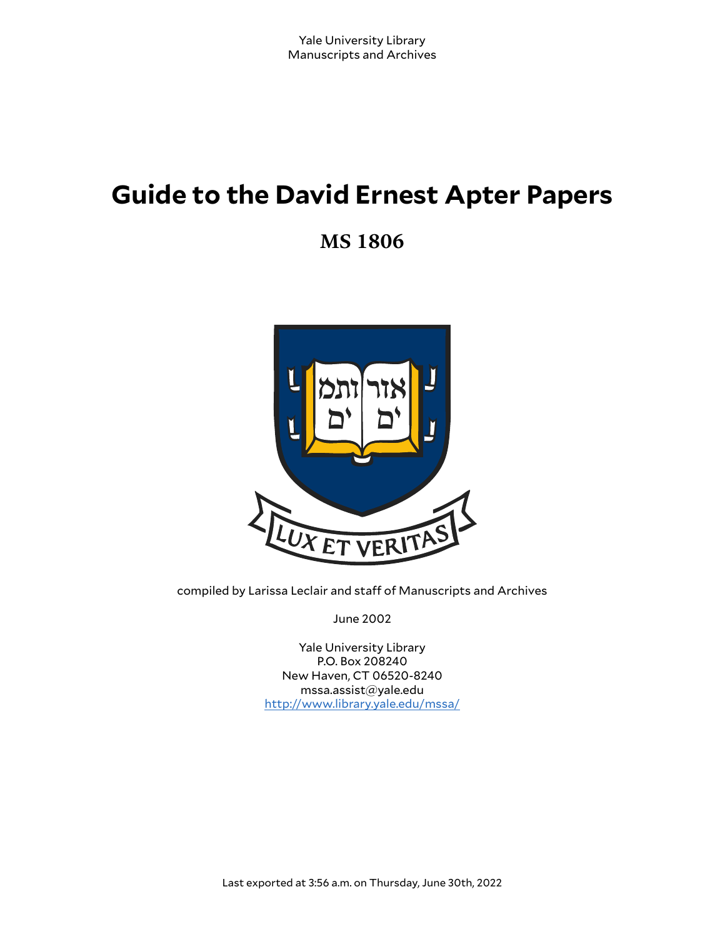# **Guide to the David Ernest Apter Papers**

**MS 1806**



compiled by Larissa Leclair and staff of Manuscripts and Archives

June 2002

Yale University Library P.O. Box 208240 New Haven, CT 06520-8240 mssa.assist@yale.edu <http://www.library.yale.edu/mssa/>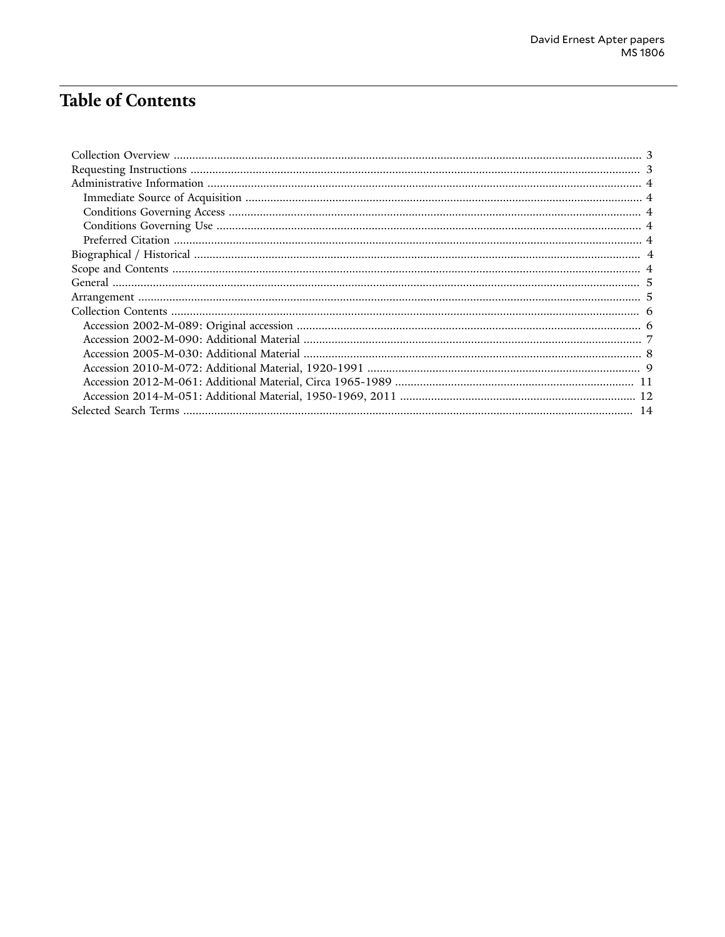## **Table of Contents**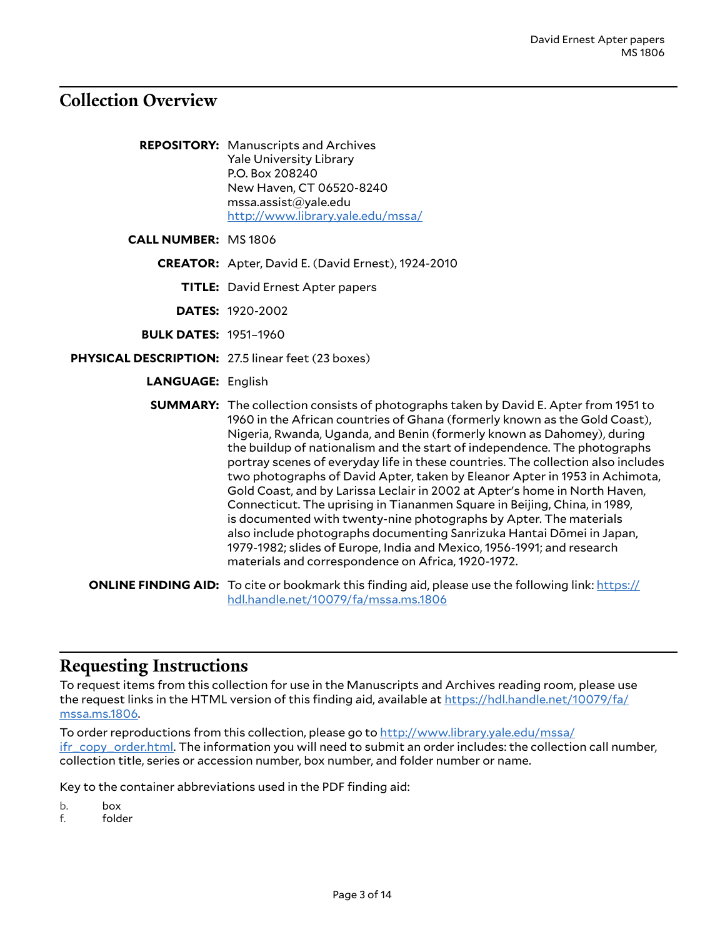## <span id="page-2-0"></span>**Collection Overview**

| <b>REPOSITORY:</b> Manuscripts and Archives |
|---------------------------------------------|
| <b>Yale University Library</b>              |
| P.O. Box 208240                             |
| New Haven, CT 06520-8240                    |
| mssa.assist@yale.edu                        |
| http://www.library.yale.edu/mssa/           |

**CALL NUMBER:** MS 1806

**CREATOR:** Apter, David E. (David Ernest), 1924-2010

**TITLE:** David Ernest Apter papers

**DATES:** 1920-2002

- **BULK DATES:** 1951–1960
- **PHYSICAL DESCRIPTION:** 27.5 linear feet (23 boxes)
	- **LANGUAGE:** English

**SUMMARY:** The collection consists of photographs taken by David E. Apter from 1951 to 1960 in the African countries of Ghana (formerly known as the Gold Coast), Nigeria, Rwanda, Uganda, and Benin (formerly known as Dahomey), during the buildup of nationalism and the start of independence. The photographs portray scenes of everyday life in these countries. The collection also includes two photographs of David Apter, taken by Eleanor Apter in 1953 in Achimota, Gold Coast, and by Larissa Leclair in 2002 at Apter's home in North Haven, Connecticut. The uprising in Tiananmen Square in Beijing, China, in 1989, is documented with twenty-nine photographs by Apter. The materials also include photographs documenting Sanrizuka Hantai Dōmei in Japan, 1979-1982; slides of Europe, India and Mexico, 1956-1991; and research materials and correspondence on Africa, 1920-1972.

**ONLINE FINDING AID:** To cite or bookmark this finding aid, please use the following link: [https://](https://hdl.handle.net/10079/fa/mssa.ms.1806) [hdl.handle.net/10079/fa/mssa.ms.1806](https://hdl.handle.net/10079/fa/mssa.ms.1806)

## <span id="page-2-1"></span>**Requesting Instructions**

To request items from this collection for use in the Manuscripts and Archives reading room, please use the request links in the HTML version of this finding aid, available at [https://hdl.handle.net/10079/fa/](https://hdl.handle.net/10079/fa/mssa.ms.1806) [mssa.ms.1806.](https://hdl.handle.net/10079/fa/mssa.ms.1806)

To order reproductions from this collection, please go to [http://www.library.yale.edu/mssa/](http://www.library.yale.edu/mssa/ifr_copy_order.html) [ifr\\_copy\\_order.html.](http://www.library.yale.edu/mssa/ifr_copy_order.html) The information you will need to submit an order includes: the collection call number, collection title, series or accession number, box number, and folder number or name.

Key to the container abbreviations used in the PDF finding aid:

b. box

f. folder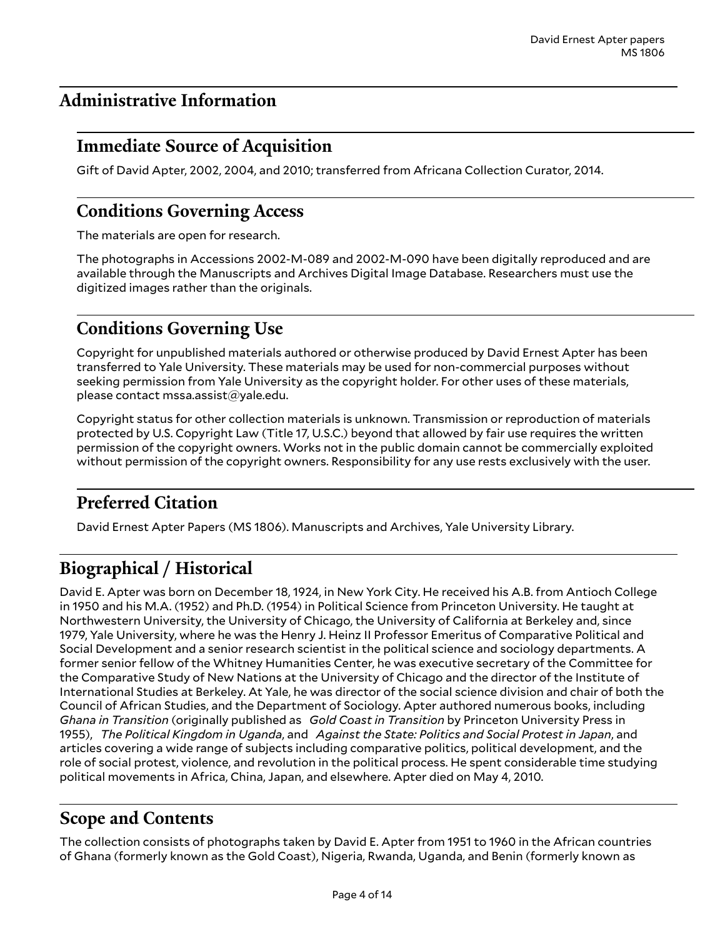## <span id="page-3-0"></span>**Administrative Information**

## <span id="page-3-1"></span>**Immediate Source of Acquisition**

Gift of David Apter, 2002, 2004, and 2010; transferred from Africana Collection Curator, 2014.

## <span id="page-3-2"></span>**Conditions Governing Access**

The materials are open for research.

The photographs in Accessions 2002-M-089 and 2002-M-090 have been digitally reproduced and are available through the Manuscripts and Archives Digital Image Database. Researchers must use the digitized images rather than the originals.

## <span id="page-3-3"></span>**Conditions Governing Use**

Copyright for unpublished materials authored or otherwise produced by David Ernest Apter has been transferred to Yale University. These materials may be used for non-commercial purposes without seeking permission from Yale University as the copyright holder. For other uses of these materials, please contact mssa.assist@yale.edu.

Copyright status for other collection materials is unknown. Transmission or reproduction of materials protected by U.S. Copyright Law (Title 17, U.S.C.) beyond that allowed by fair use requires the written permission of the copyright owners. Works not in the public domain cannot be commercially exploited without permission of the copyright owners. Responsibility for any use rests exclusively with the user.

## <span id="page-3-4"></span>**Preferred Citation**

David Ernest Apter Papers (MS 1806). Manuscripts and Archives, Yale University Library.

## <span id="page-3-5"></span>**Biographical / Historical**

David E. Apter was born on December 18, 1924, in New York City. He received his A.B. from Antioch College in 1950 and his M.A. (1952) and Ph.D. (1954) in Political Science from Princeton University. He taught at Northwestern University, the University of Chicago, the University of California at Berkeley and, since 1979, Yale University, where he was the Henry J. Heinz II Professor Emeritus of Comparative Political and Social Development and a senior research scientist in the political science and sociology departments. A former senior fellow of the Whitney Humanities Center, he was executive secretary of the Committee for the Comparative Study of New Nations at the University of Chicago and the director of the Institute of International Studies at Berkeley. At Yale, he was director of the social science division and chair of both the Council of African Studies, and the Department of Sociology. Apter authored numerous books, including *Ghana in Transition* (originally published as *Gold Coast in Transition* by Princeton University Press in 1955), *The Political Kingdom in Uganda*, and *Against the State: Politics and Social Protest in Japan*, and articles covering a wide range of subjects including comparative politics, political development, and the role of social protest, violence, and revolution in the political process. He spent considerable time studying political movements in Africa, China, Japan, and elsewhere. Apter died on May 4, 2010.

## <span id="page-3-6"></span>**Scope and Contents**

The collection consists of photographs taken by David E. Apter from 1951 to 1960 in the African countries of Ghana (formerly known as the Gold Coast), Nigeria, Rwanda, Uganda, and Benin (formerly known as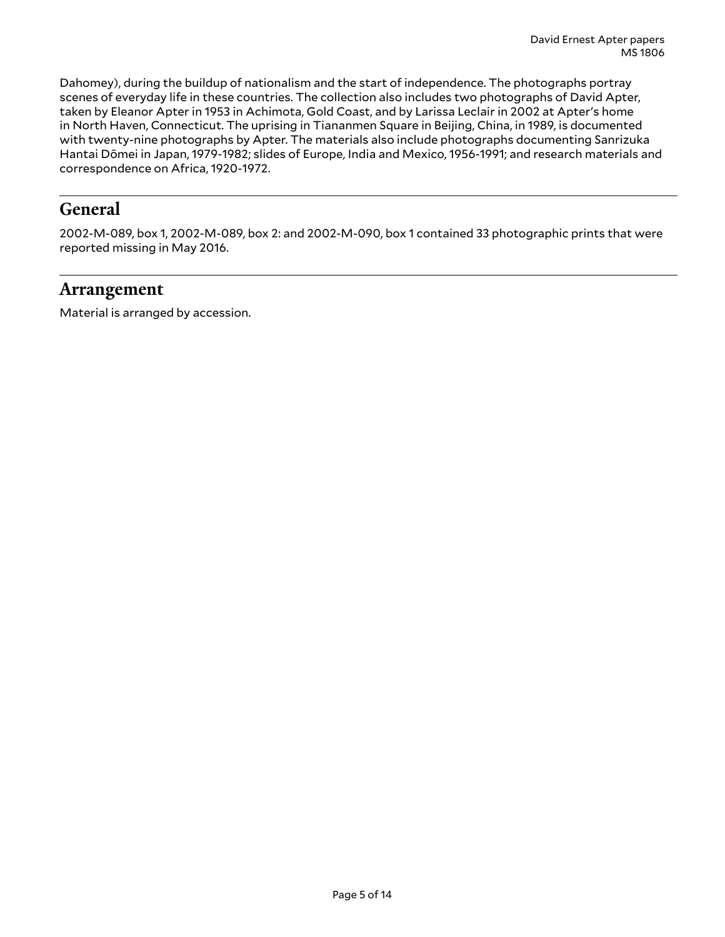Dahomey), during the buildup of nationalism and the start of independence. The photographs portray scenes of everyday life in these countries. The collection also includes two photographs of David Apter, taken by Eleanor Apter in 1953 in Achimota, Gold Coast, and by Larissa Leclair in 2002 at Apter's home in North Haven, Connecticut. The uprising in Tiananmen Square in Beijing, China, in 1989, is documented with twenty-nine photographs by Apter. The materials also include photographs documenting Sanrizuka Hantai Dōmei in Japan, 1979-1982; slides of Europe, India and Mexico, 1956-1991; and research materials and correspondence on Africa, 1920-1972.

## <span id="page-4-0"></span>**General**

2002-M-089, box 1, 2002-M-089, box 2: and 2002-M-090, box 1 contained 33 photographic prints that were reported missing in May 2016.

### <span id="page-4-1"></span>**Arrangement**

Material is arranged by accession.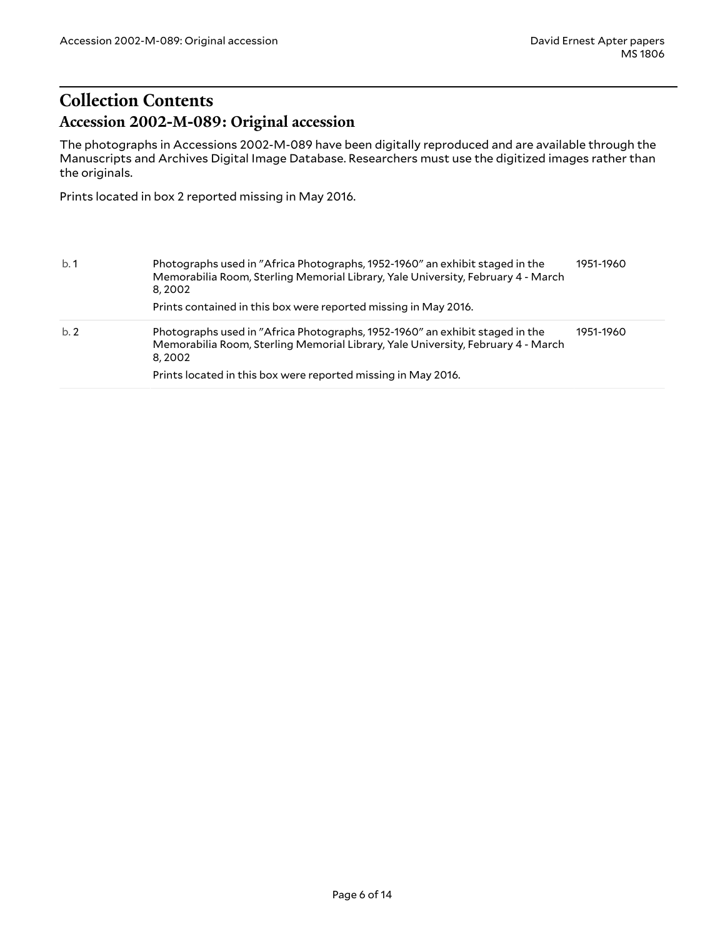## <span id="page-5-1"></span><span id="page-5-0"></span>**Collection Contents Accession 2002-M-089: Original accession**

The photographs in Accessions 2002-M-089 have been digitally reproduced and are available through the Manuscripts and Archives Digital Image Database. Researchers must use the digitized images rather than the originals.

Prints located in box 2 reported missing in May 2016.

| b.1 | Photographs used in "Africa Photographs, 1952-1960" an exhibit staged in the<br>Memorabilia Room, Sterling Memorial Library, Yale University, February 4 - March<br>8,2002<br>Prints contained in this box were reported missing in May 2016. | 1951-1960 |
|-----|-----------------------------------------------------------------------------------------------------------------------------------------------------------------------------------------------------------------------------------------------|-----------|
| b.2 | Photographs used in "Africa Photographs, 1952-1960" an exhibit staged in the<br>Memorabilia Room, Sterling Memorial Library, Yale University, February 4 - March<br>8.2002                                                                    | 1951-1960 |
|     | Prints located in this box were reported missing in May 2016.                                                                                                                                                                                 |           |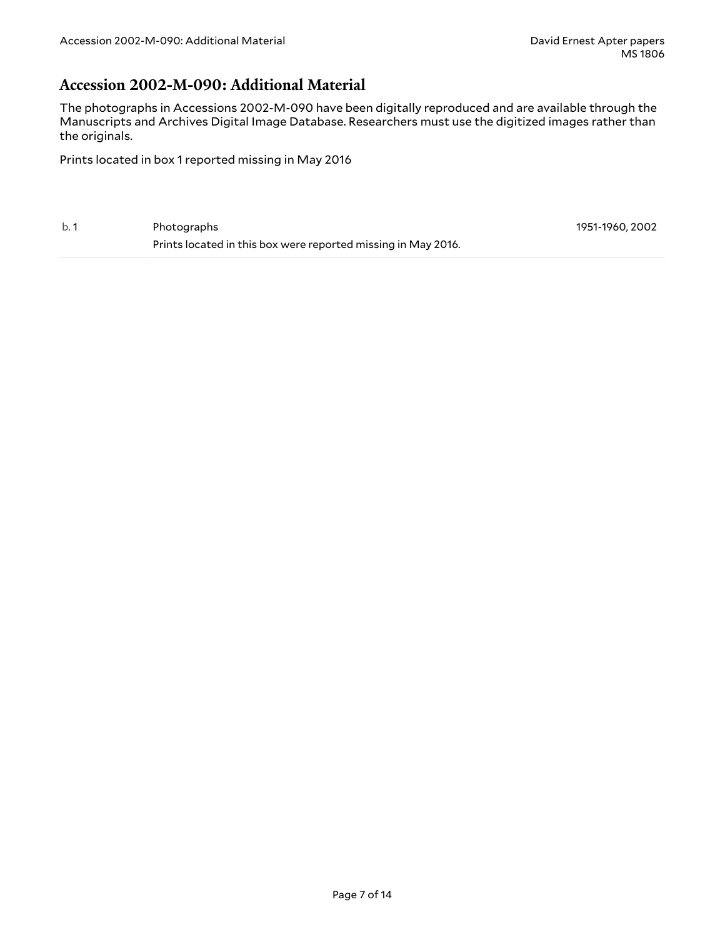### <span id="page-6-0"></span>**Accession 2002-M-090: Additional Material**

The photographs in Accessions 2002-M-090 have been digitally reproduced and are available through the Manuscripts and Archives Digital Image Database. Researchers must use the digitized images rather than the originals.

Prints located in box 1 reported missing in May 2016

b. 1 Photographs Prints located in this box were reported missing in May 2016. 1951-1960, 2002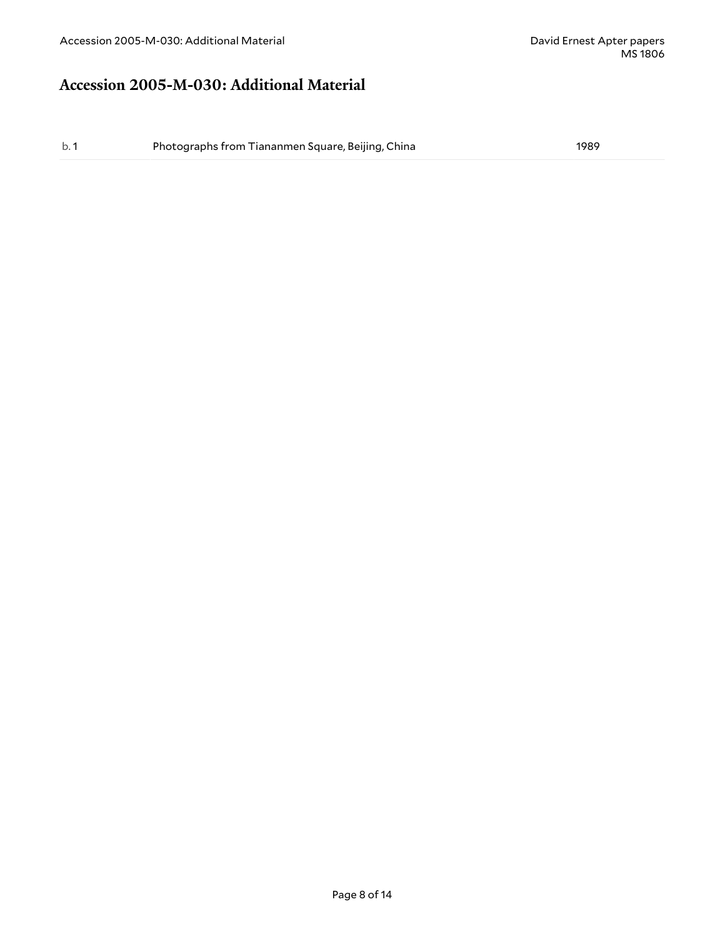### <span id="page-7-0"></span>**Accession 2005-M-030: Additional Material**

b. 1 Photographs from Tiananmen Square, Beijing, China 1989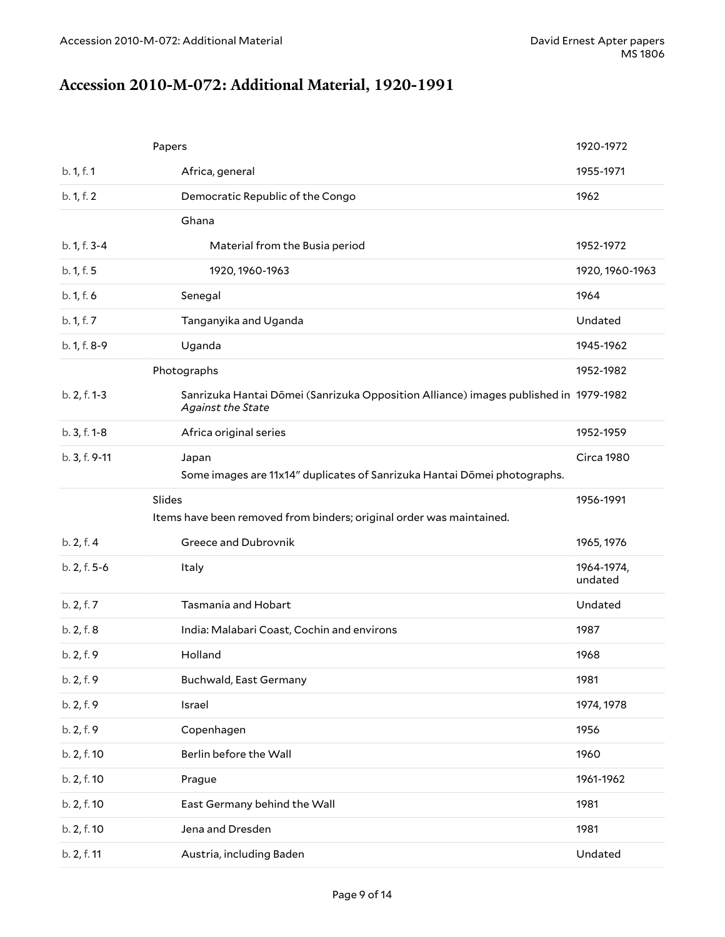## <span id="page-8-0"></span>**Accession 2010-M-072: Additional Material, 1920-1991**

|               | Papers                                                                                                    | 1920-1972             |
|---------------|-----------------------------------------------------------------------------------------------------------|-----------------------|
| b. 1, f. 1    | Africa, general                                                                                           | 1955-1971             |
| b. 1, f. 2    | Democratic Republic of the Congo                                                                          | 1962                  |
|               | Ghana                                                                                                     |                       |
| b. 1, f. 3-4  | Material from the Busia period                                                                            | 1952-1972             |
| b. 1, f. 5    | 1920, 1960-1963                                                                                           | 1920, 1960-1963       |
| b. 1, f. 6    | Senegal                                                                                                   | 1964                  |
| b. 1, f. 7    | Tanganyika and Uganda                                                                                     | Undated               |
| b. 1, f. 8-9  | Uganda                                                                                                    | 1945-1962             |
|               | Photographs                                                                                               | 1952-1982             |
| b. 2, f. 1-3  | Sanrizuka Hantai Dōmei (Sanrizuka Opposition Alliance) images published in 1979-1982<br>Against the State |                       |
| b. 3, f. 1-8  | Africa original series                                                                                    | 1952-1959             |
| b. 3, f. 9-11 | Japan                                                                                                     | Circa 1980            |
|               | Some images are 11x14" duplicates of Sanrizuka Hantai Dōmei photographs.                                  |                       |
|               | Slides<br>Items have been removed from binders; original order was maintained.                            | 1956-1991             |
|               |                                                                                                           |                       |
| b. 2, f. 4    | Greece and Dubrovnik                                                                                      | 1965, 1976            |
| b. 2, f. 5-6  | Italy                                                                                                     | 1964-1974,<br>undated |
| b. 2, f. 7    | Tasmania and Hobart                                                                                       | Undated               |
| b. 2, f. 8    | India: Malabari Coast, Cochin and environs                                                                | 1987                  |
| b. 2, f. 9    | Holland                                                                                                   | 1968                  |
| b. 2, f. 9    | <b>Buchwald, East Germany</b>                                                                             | 1981                  |
| b. 2, f. 9    | Israel                                                                                                    | 1974, 1978            |
| b. 2, f. 9    | Copenhagen                                                                                                | 1956                  |
| b. 2, f. 10   | Berlin before the Wall                                                                                    | 1960                  |
| b. 2, f. 10   | Prague                                                                                                    | 1961-1962             |
| b. 2, f. 10   | East Germany behind the Wall                                                                              | 1981                  |
| b. 2, f. 10   | Jena and Dresden                                                                                          | 1981                  |
| b. 2, f. 11   | Austria, including Baden                                                                                  | Undated               |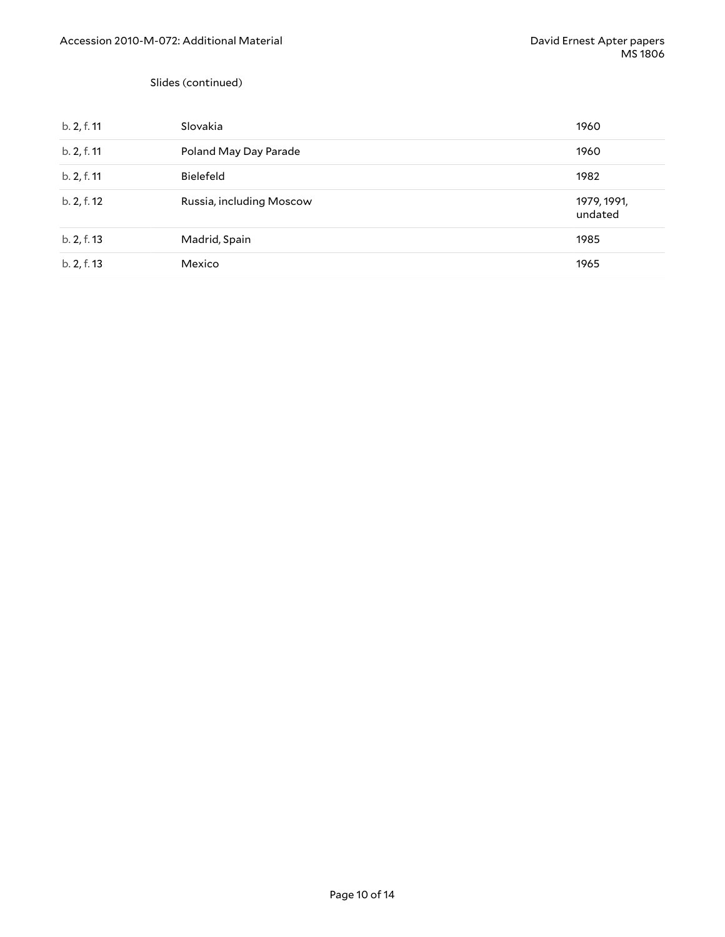#### Slides (continued)

| b. 2, f. 11 | Slovakia                 | 1960                   |
|-------------|--------------------------|------------------------|
| b. 2, f. 11 | Poland May Day Parade    | 1960                   |
| b. 2, f. 11 | <b>Bielefeld</b>         | 1982                   |
| b. 2, f. 12 | Russia, including Moscow | 1979, 1991,<br>undated |
| b. 2, f. 13 | Madrid, Spain            | 1985                   |
| b. 2, f. 13 | Mexico                   | 1965                   |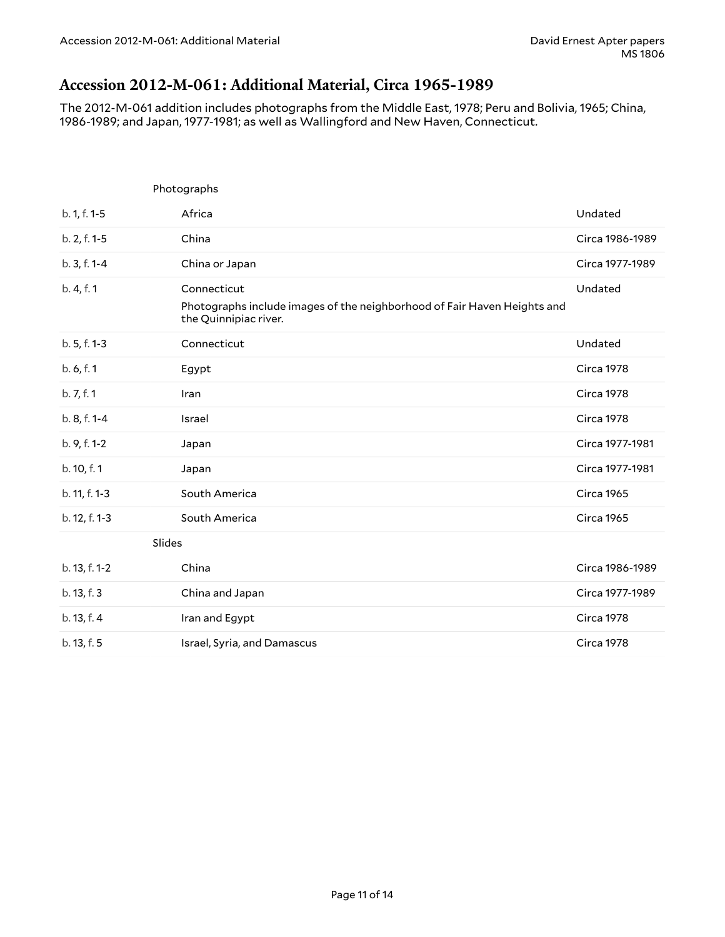### <span id="page-10-0"></span>**Accession 2012-M-061: Additional Material, Circa 1965-1989**

The 2012-M-061 addition includes photographs from the Middle East, 1978; Peru and Bolivia, 1965; China, 1986-1989; and Japan, 1977-1981; as well as Wallingford and New Haven, Connecticut.

|               | Photographs                                                                                                      |                   |
|---------------|------------------------------------------------------------------------------------------------------------------|-------------------|
| b. 1, f. 1-5  | Africa                                                                                                           | Undated           |
| b. 2, f. 1-5  | China                                                                                                            | Circa 1986-1989   |
| b. 3, f. 1-4  | China or Japan                                                                                                   | Circa 1977-1989   |
| b. 4, f. 1    | Connecticut<br>Photographs include images of the neighborhood of Fair Haven Heights and<br>the Quinnipiac river. | Undated           |
| b. 5, f. 1-3  | Connecticut                                                                                                      | Undated           |
| b. 6, f. 1    | Egypt                                                                                                            | <b>Circa 1978</b> |
| b. 7, f. 1    | Iran                                                                                                             | Circa 1978        |
| b. 8, f. 1-4  | Israel                                                                                                           | Circa 1978        |
| b. 9, f. 1-2  | Japan                                                                                                            | Circa 1977-1981   |
| b. 10, f. 1   | Japan                                                                                                            | Circa 1977-1981   |
| b. 11, f. 1-3 | South America                                                                                                    | <b>Circa 1965</b> |
| b. 12, f. 1-3 | South America                                                                                                    | <b>Circa 1965</b> |
|               | Slides                                                                                                           |                   |
| b. 13, f. 1-2 | China                                                                                                            | Circa 1986-1989   |
| b. 13, f. 3   | China and Japan                                                                                                  | Circa 1977-1989   |
| b. 13, f. 4   | Iran and Egypt                                                                                                   | <b>Circa 1978</b> |
| b. 13, f. 5   | Israel, Syria, and Damascus                                                                                      | <b>Circa 1978</b> |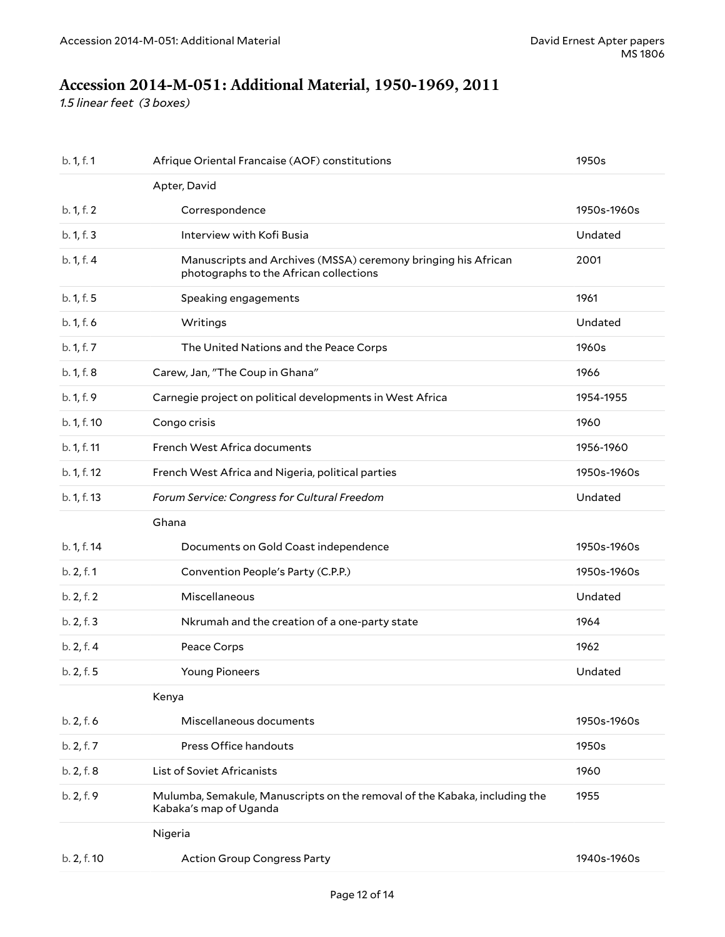## <span id="page-11-0"></span>**Accession 2014-M-051: Additional Material, 1950-1969, 2011**

*1.5 linear feet (3 boxes)*

| b. 1, f. 1  | Afrique Oriental Francaise (AOF) constitutions                                                          | 1950s       |
|-------------|---------------------------------------------------------------------------------------------------------|-------------|
|             | Apter, David                                                                                            |             |
| b. 1, f. 2  | Correspondence                                                                                          | 1950s-1960s |
| b. 1, f. 3  | Interview with Kofi Busia                                                                               | Undated     |
| b. 1, f. 4  | Manuscripts and Archives (MSSA) ceremony bringing his African<br>photographs to the African collections | 2001        |
| b. 1, f. 5  | Speaking engagements                                                                                    | 1961        |
| b. 1, f. 6  | Writings                                                                                                | Undated     |
| b. 1, f. 7  | The United Nations and the Peace Corps                                                                  | 1960s       |
| b. 1, f. 8  | Carew, Jan, "The Coup in Ghana"                                                                         | 1966        |
| b. 1, f. 9  | Carnegie project on political developments in West Africa                                               | 1954-1955   |
| b. 1, f. 10 | Congo crisis                                                                                            | 1960        |
| b. 1, f. 11 | French West Africa documents                                                                            | 1956-1960   |
| b. 1, f. 12 | French West Africa and Nigeria, political parties                                                       | 1950s-1960s |
| b. 1, f. 13 | Forum Service: Congress for Cultural Freedom                                                            | Undated     |
|             | Ghana                                                                                                   |             |
| b. 1, f. 14 | Documents on Gold Coast independence                                                                    | 1950s-1960s |
| b. 2, f. 1  | Convention People's Party (C.P.P.)                                                                      | 1950s-1960s |
| b. 2, f. 2  | Miscellaneous                                                                                           | Undated     |
| b. 2, f. 3  | Nkrumah and the creation of a one-party state                                                           | 1964        |
| b. 2, f. 4  | Peace Corps                                                                                             | 1962        |
| b. 2, f. 5  | <b>Young Pioneers</b>                                                                                   | Undated     |
|             | Kenya                                                                                                   |             |
| b. 2, f. 6  | Miscellaneous documents                                                                                 | 1950s-1960s |
| b. 2, f. 7  | Press Office handouts                                                                                   | 1950s       |
| b. 2, f. 8  | List of Soviet Africanists                                                                              | 1960        |
| b. 2, f. 9  | Mulumba, Semakule, Manuscripts on the removal of the Kabaka, including the<br>Kabaka's map of Uganda    | 1955        |
|             | Nigeria                                                                                                 |             |
| b. 2, f. 10 | <b>Action Group Congress Party</b>                                                                      | 1940s-1960s |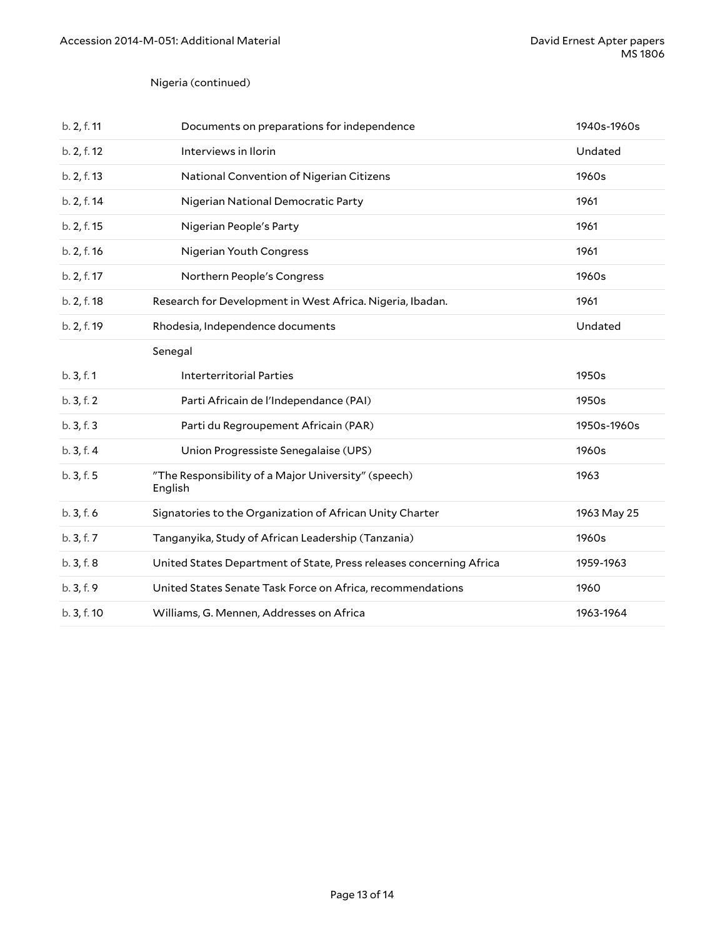#### Nigeria (continued)

| b. 2, f. 11 | Documents on preparations for independence                          | 1940s-1960s |
|-------------|---------------------------------------------------------------------|-------------|
| b. 2, f. 12 | Interviews in Ilorin                                                | Undated     |
| b. 2, f. 13 | National Convention of Nigerian Citizens                            | 1960s       |
| b. 2, f. 14 | Nigerian National Democratic Party                                  | 1961        |
| b. 2, f. 15 | Nigerian People's Party                                             | 1961        |
| b. 2, f. 16 | Nigerian Youth Congress                                             | 1961        |
| b. 2, f. 17 | Northern People's Congress                                          | 1960s       |
| b. 2, f. 18 | Research for Development in West Africa. Nigeria, Ibadan.           | 1961        |
| b. 2, f. 19 | Rhodesia, Independence documents                                    | Undated     |
|             | Senegal                                                             |             |
| b.3, f.1    | <b>Interterritorial Parties</b>                                     | 1950s       |
| b.3, f.2    | Parti Africain de l'Independance (PAI)                              | 1950s       |
| b. 3, f. 3  | Parti du Regroupement Africain (PAR)                                | 1950s-1960s |
| b. 3, f. 4  | Union Progressiste Senegalaise (UPS)                                | 1960s       |
| b. 3, f. 5  | "The Responsibility of a Major University" (speech)<br>English      | 1963        |
| b.3, f.6    | Signatories to the Organization of African Unity Charter            | 1963 May 25 |
| b.3, f.7    | Tanganyika, Study of African Leadership (Tanzania)                  | 1960s       |
| b.3, f.8    | United States Department of State, Press releases concerning Africa | 1959-1963   |
| b.3, f.9    | United States Senate Task Force on Africa, recommendations          | 1960        |
| b. 3, f. 10 | Williams, G. Mennen, Addresses on Africa                            | 1963-1964   |